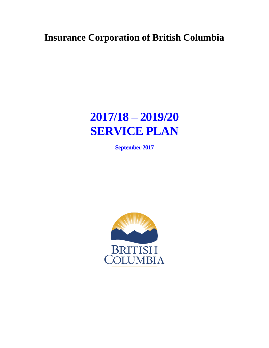# **Insurance Corporation of British Columbia**

# **2017/18 – 2019/20 SERVICE PLAN**

**September 2017** 

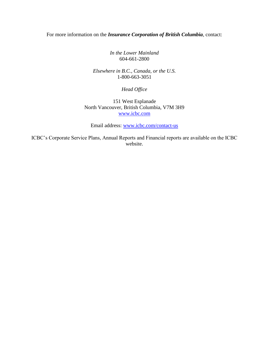For more information on the *Insurance Corporation of British Columbia*, contact:

*In the Lower Mainland* 604-661-2800

*Elsewhere in B.C., Canada, or the U.S.* 1-800-663-3051

*Head Office*

151 West Esplanade North Vancouver, British Columbia, V7M 3H9 [www.icbc.com](http://www.icbc.com/)

Email address: [www.icbc.com/contact-us](http://www.icbc.com/contact-us)

ICBC's Corporate Service Plans, Annual Reports and Financial reports are available on the ICBC website.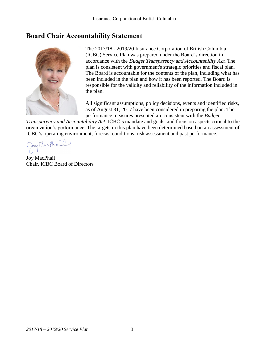# <span id="page-2-0"></span>**Board Chair Accountability Statement**



The 2017/18 - 2019/20 Insurance Corporation of British Columbia (ICBC) Service Plan was prepared under the Board's direction in accordance with the Budget Transparency and Accountability Act. The plan is consistent with government's strategic priorities and fiscal plan. The Board is accountable for the contents of the plan, including what has been included in the plan and how it has been reported. The Board is responsible for the validity and reliability of the information included in the plan.

All significant assumptions, policy decisions, events and identified risks, as of August 31, 2017 have been considered in preparing the plan. The performance measures presented are consistent with the *Budget* 

*Transparency and Accountability Act*, ICBC's mandate and goals, and focus on aspects critical to the organization's performance. The targets in this plan have been determined based on an assessment of ICBC's operating environment, forecast conditions, risk assessment and past performance.<br>  $\left\langle \int \mathbb{R}^d \mathbb{R}^d \mathbb{R}^d \right\rangle$ 

Joy MacPhail Chair, ICBC Board of Directors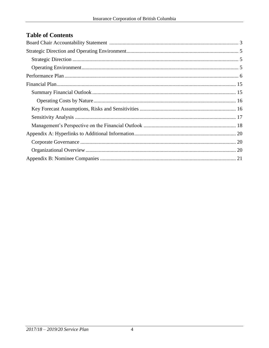# **Table of Contents**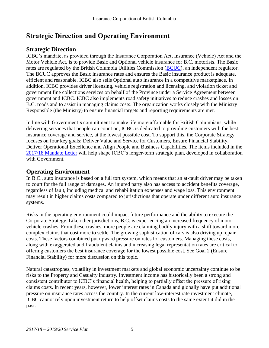# <span id="page-4-0"></span>**Strategic Direction and Operating Environment**

# <span id="page-4-1"></span>**Strategic Direction**

ICBC's mandate, as provided through the Insurance Corporation Act, Insurance (Vehicle) Act and the Motor Vehicle Act, is to provide Basic and Optional vehicle insurance for B.C. motorists. The Basic rates are regulated by the British Columbia Utilities Commission [\(BCUC\)](http://www.bcuc.com/), an independent regulator. The BCUC approves the Basic insurance rates and ensures the Basic insurance product is adequate, efficient and reasonable. ICBC also sells Optional auto insurance in a competitive marketplace. In addition, ICBC provides driver licensing, vehicle registration and licensing, and violation ticket and government fine collections services on behalf of the Province under a Service Agreement between government and ICBC. ICBC also implements road safety initiatives to reduce crashes and losses on B.C. roads and to assist in managing claims costs. The organization works closely with the Ministry Responsible (the Ministry) to ensure financial targets and reporting requirements are met.

In line with Government's commitment to make life more affordable for British Columbians, while delivering services that people can count on, ICBC is dedicated to providing customers with the best insurance coverage and service, at the lowest possible cost. To support this, the Corporate Strategy focuses on four key goals: Deliver Value and Service for Customers, Ensure Financial Stability, Deliver Operational Excellence and Align People and Business Capabilities. The items included in the [2017/18 Mandate Letter](http://www.icbc.com/about-icbc/company-info/Documents/mandate-letter-aug-2017.pdf) will help shape ICBC's longer-term strategic plan, developed in collaboration with Government.

# <span id="page-4-2"></span>**Operating Environment**

In B.C., auto insurance is based on a full tort system, which means that an at-fault driver may be taken to court for the full range of damages. An injured party also has access to accident benefits coverage, regardless of fault, including medical and rehabilitation expenses and wage loss. This environment may result in higher claims costs compared to jurisdictions that operate under different auto insurance systems.

Risks in the operating environment could impact future performance and the ability to execute the Corporate Strategy. Like other jurisdictions, B.C. is experiencing an increased frequency of motor vehicle crashes. From these crashes, more people are claiming bodily injury with a shift toward more complex claims that cost more to settle. The growing sophistication of cars is also driving up repair costs. These factors combined put upward pressure on rates for customers. Managing these costs, along with exaggerated and fraudulent claims and increasing legal representation rates are critical to offering customers the best insurance coverage for the lowest possible cost. See Goal 2 (Ensure Financial Stability) for more discussion on this topic.

Natural catastrophes, volatility in investment markets and global economic uncertainty continue to be risks to the Property and Casualty industry. Investment income has historically been a strong and consistent contributor to ICBC's financial health, helping to partially offset the pressure of rising claims costs. In recent years, however, lower interest rates in Canada and globally have put additional pressure on insurance rates across the country. In the current low-interest rate investment climate, ICBC cannot rely upon investment return to help offset claims costs to the same extent it did in the past.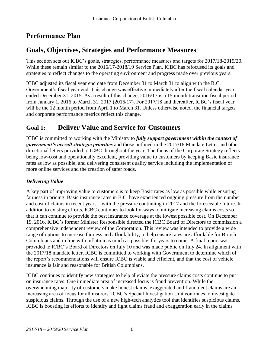# <span id="page-5-0"></span>**Performance Plan**

# **Goals, Objectives, Strategies and Performance Measures**

This section sets out ICBC's goals, strategies, performance measures and targets for 2017/18-2019/20. While these remain similar to the 2016/17-2018/19 Service Plan, ICBC has refocused its goals and strategies to reflect changes to the operating environment and progress made over previous years.

ICBC adjusted its fiscal year end date from December 31 to March 31 to align with the B.C. Government's fiscal year end. This change was effective immediately after the fiscal calendar year ended December 31, 2015. As a result of this change, 2016/17 is a 15 month transition fiscal period from January 1, 2016 to March 31, 2017 (2016/17). For 2017/18 and thereafter, ICBC's fiscal year will be the 12 month period from April 1 to March 31. Unless otherwise noted, the financial targets and corporate performance metrics reflect this change.

# **Goal 1: Deliver Value and Service for Customers**

ICBC is committed to working with the Ministry to *fully support government within the context of government's overall strategic priorities* and those outlined in the 2017/18 Mandate Letter and other directional letters provided to ICBC throughout the year. The focus of the Corporate Strategy reflects being low-cost and operationally excellent, providing value to customers by keeping Basic insurance rates as low as possible, and delivering consistent quality service including the implementation of more online services and the creation of safer roads.

### *Delivering Value*

A key part of improving value to customers is to keep Basic rates as low as possible while ensuring fairness in pricing. Basic insurance rates in B.C. have experienced ongoing pressure from the number and cost of claims in recent years – with the pressure continuing in 2017 and the foreseeable future. In addition to existing efforts, ICBC continues to look for ways to mitigate increasing claims costs so that it can continue to provide the best insurance coverage at the lowest possible cost. On December 19, 2016, ICBC's former Minister Responsible directed the ICBC Board of Directors to commission a comprehensive independent review of the Corporation. This review was intended to provide a wide range of options to increase fairness and affordability, to help ensure rates are affordable for British Columbians and in line with inflation as much as possible, for years to come. A final report was provided to ICBC's Board of Directors on July 10 and was made public on July 24. In alignment with the 2017/18 mandate letter, ICBC is committed to working with Government to determine which of the report's recommendations will ensure ICBC is viable and efficient, and that the cost of vehicle insurance is fair and reasonable for British Columbians.

ICBC continues to identify new strategies to help alleviate the pressure claims costs continue to put on insurance rates. One immediate area of increased focus is fraud prevention. While the overwhelming majority of customers make honest claims, exaggerated and fraudulent claims are an increasing area of focus for all insurers. ICBC's Special Investigation Unit continues to investigate suspicious claims. Through the use of a new high-tech analytics tool that identifies suspicious claims, ICBC is boosting its efforts to identify and fight claims fraud and exaggeration early in the claims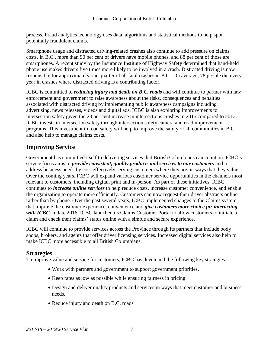process. Fraud analytics technology uses data, algorithms and statistical methods to help spot potentially fraudulent claims.

Smartphone usage and distracted driving-related crashes also continue to add pressure on claims costs. In B.C., more than 90 per cent of drivers have mobile phones, and 88 per cent of those are smartphones. A recent study by the Insurance Institute of Highway Safety determined that hand-held phone use makes drivers five times more likely to be involved in a crash. Distracted driving is now responsible for approximately one quarter of all fatal crashes in B.C. On average, 78 people die every year in crashes where distracted driving is a contributing factor.

ICBC is committed to *reducing injury and death on B.C. roads* and will continue to partner with law enforcement and government to raise awareness about the risks, consequences and penalties associated with distracted driving by implementing public awareness campaigns including advertising, news releases, videos and digital ads. ICBC is also exploring improvements to intersection safety given the 23 per cent increase in intersections crashes in 2015 compared to 2013. ICBC invests in intersection safety through intersection safety camera and road improvement programs. This investment in road safety will help to improve the safety of all communities in B.C. and also help to manage claims costs.

# **Improving Service**

Government has committed itself to delivering services that British Columbians can count on. ICBC's service focus aims to *provide consistent, quality products and services to our customers* and to address business needs by cost-effectively serving customers where they are, in ways that they value. Over the coming years, ICBC will expand various customer service opportunities in the channels most relevant to customers, including digital, print and in-person. As part of these initiatives, ICBC continues to *increase online services* to help reduce costs, increase customer convenience, and enable the organization to operate more efficiently. Customers can now request their driver abstracts online, rather than by phone. Over the past several years, ICBC implemented changes to the Claims system that improve the customer experience, convenience and *give customers more choice for interacting*  with ICBC. In late 2016, ICBC launched its Claims Customer Portal to allow customers to initiate a claim and check their claims' status online with a simple and secure experience.

ICBC will continue to provide services across the Province through its partners that include body shops, brokers, and agents that offer driver licensing services. Increased digital services also help to make ICBC more accessible to all British Columbians.

### **Strategies**

To improve value and service for customers, ICBC has developed the following key strategies:

- Work with partners and government to support government priorities.
- Keep rates as low as possible while ensuring fairness in pricing.
- Design and deliver quality products and services in ways that meet customer and business needs.
- Reduce injury and death on B.C. roads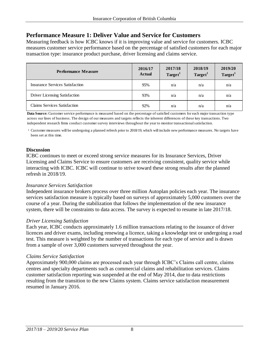### **Performance Measure 1: Deliver Value and Service for Customers**

Measuring feedback is how ICBC knows if it is improving value and service for customers. ICBC measures customer service performance based on the percentage of satisfied customers for each major transaction type: insurance product purchase, driver licensing and claims service.

| <b>Performance Measure</b>           | 2016/17<br><b>Actual</b> | 2017/18<br>Target <sup>1</sup> | 2018/19<br>Target <sup>1</sup> | 2019/20<br>Target <sup>1</sup> |
|--------------------------------------|--------------------------|--------------------------------|--------------------------------|--------------------------------|
| Insurance Services Satisfaction      | 95%                      | n/a                            | n/a                            | n/a                            |
| <b>Driver Licensing Satisfaction</b> | 93%                      | n/a                            | n/a                            | n/a                            |
| <b>Claims Services Satisfaction</b>  | 92%                      | n/a                            | n/a                            | n/a                            |

**Data Source:** Customer service performance is measured based on the percentage of satisfied customers for each major transaction type across our lines of business. The design of our measures and targets reflects the inherent differences of these key transactions. Two independent research firms conduct customer survey interviews throughout the year to monitor transactional satisfaction.

1 Customer measures will be undergoing a planned refresh prior to 2018/19, which will include new performance measures. No targets have been set at this time.

#### **Discussion**

ICBC continues to meet or exceed strong service measures for its Insurance Services, Driver Licensing and Claims Service to ensure customers are receiving consistent, quality service while interacting with ICBC. ICBC will continue to strive toward these strong results after the planned refresh in 2018/19.

#### *Insurance Services Satisfaction*

Independent insurance brokers process over three million Autoplan policies each year. The insurance services satisfaction measure is typically based on surveys of approximately 5,000 customers over the course of a year. During the stabilization that follows the implementation of the new insurance system, there will be constraints to data access. The survey is expected to resume in late 2017/18.

#### *Driver Licensing Satisfaction*

Each year, ICBC conducts approximately 1.6 million transactions relating to the issuance of driver licences and driver exams, including renewing a licence, taking a knowledge test or undergoing a road test. This measure is weighted by the number of transactions for each type of service and is drawn from a sample of over 3,000 customers surveyed throughout the year.

#### *Claims Service Satisfaction*

Approximately 900,000 claims are processed each year through ICBC's Claims call centre, claims centres and specialty departments such as commercial claims and rehabilitation services. Claims customer satisfaction reporting was suspended at the end of May 2014, due to data restrictions resulting from the transition to the new Claims system. Claims service satisfaction measurement resumed in January 2016.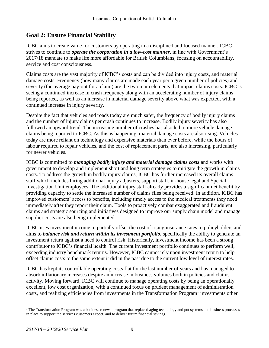# **Goal 2: Ensure Financial Stability**

ICBC aims to create value for customers by operating in a disciplined and focused manner. ICBC strives to continue to *operate the corporation in a low-cost manner*, in line with Government's 2017/18 mandate to make life more affordable for British Columbians, focusing on accountability, service and cost consciousness.

Claims costs are the vast majority of ICBC's costs and can be divided into injury costs, and material damage costs. Frequency (how many claims are made each year per a given number of policies) and severity (the average pay-out for a claim) are the two main elements that impact claims costs. ICBC is seeing a continued increase in crash frequency along with an accelerating number of injury claims being reported, as well as an increase in material damage severity above what was expected, with a continued increase in injury severity.

Despite the fact that vehicles and roads today are much safer, the frequency of bodily injury claims and the number of injury claims per crash continues to increase. Bodily injury severity has also followed an upward trend. The increasing number of crashes has also led to more vehicle damage claims being reported to ICBC. As this is happening, material damage costs are also rising. Vehicles today are more reliant on technology and expensive materials than ever before, while the hours of labour required to repair vehicles, and the cost of replacement parts, are also increasing, particularly for newer vehicles.

ICBC is committed to *managing bodily injury and material damage claims costs* and works with government to develop and implement short and long term strategies to mitigate the growth in claims costs. To address the growth in bodily injury claims, ICBC has further increased its overall claims staff which includes hiring additional injury adjusters, support staff, in-house legal and Special Investigation Unit employees. The additional injury staff already provides a significant net benefit by providing capacity to settle the increased number of claims files being received. In addition, ICBC has improved customers' access to benefits, including timely access to the medical treatments they need immediately after they report their claim. Tools to proactively combat exaggerated and fraudulent claims and strategic sourcing and initiatives designed to improve our supply chain model and manage supplier costs are also being implemented.

ICBC uses investment income to partially offset the cost of rising insurance rates to policyholders and aims to *balance risk and return within its investment portfolio,* specifically the ability to generate an investment return against a need to control risk. Historically, investment income has been a strong contributor to ICBC's financial health. The current investment portfolio continues to perform well, exceeding industry benchmark returns. However, ICBC cannot rely upon investment return to help offset claims costs to the same extent it did in the past due to the current low level of interest rates.

ICBC has kept its controllable operating costs flat for the last number of years and has managed to absorb inflationary increases despite an increase in business volumes both in policies and claims activity. Moving forward, ICBC will continue to manage operating costs by being an operationally excellent, low cost organization, with a continued focus on prudent management of administration costs, and realizing efficiencies from investments in the Transformation Program<sup>1</sup> investments other

<sup>&</sup>lt;sup>1</sup> The Transformation Program was a business renewal program that replaced aging technology and put systems and business processes in place to support the services customers expect, and to deliver future financial savings.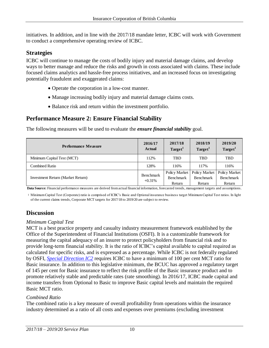initiatives. In addition, and in line with the 2017/18 mandate letter, ICBC will work with Government to conduct a comprehensive operating review of ICBC.

### **Strategies**

ICBC will continue to manage the costs of bodily injury and material damage claims, and develop ways to better manage and reduce the risks and growth in costs associated with claims. These include focused claims analytics and hassle-free process initiatives, and an increased focus on investigating potentially fraudulent and exaggerated claims:

- Operate the corporation in a low-cost manner.
- Manage increasing bodily injury and material damage claims costs.
- Balance risk and return within the investment portfolio.

### **Performance Measure 2: Ensure Financial Stability**

The following measures will be used to evaluate the *ensure financial stability* goal.

| Performance Measure               | 2016/17<br>Actual     | 2017/18<br>Target <sup>1</sup>              | 2018/19<br>Target <sup>1</sup>              | 2019/20<br>Target <sup>1</sup>              |
|-----------------------------------|-----------------------|---------------------------------------------|---------------------------------------------|---------------------------------------------|
| Minimum Capital Test (MCT)        | 112%                  | <b>TBD</b>                                  | <b>TBD</b>                                  | <b>TBD</b>                                  |
| Combined Ratio                    | 128%                  | 116%                                        | 117%                                        | 116%                                        |
| Investment Return (Market Return) | Benchmark<br>$+0.31%$ | Policy Market<br><b>Benchmark</b><br>Return | Policy Market<br><b>Benchmark</b><br>Return | Policy Market<br><b>Benchmark</b><br>Return |

**Data Source:** Financial performance measures are derived from actual financial information, forecasted trends, management targets and assumptions.

1 Minimum Capital Test (Corporate) ratio is comprised of ICBC's Basic and Optional insurance business target Minimum Capital Test ratios. In light of the current claims trends, Corporate MCT targets for 2017/18 to 2019/20 are subject to review.

# **Discussion**

#### *Minimum Capital Test*

MCT is a best practice property and casualty industry measurement framework established by the Office of the Superintendent of Financial Institutions (OSFI). It is a customizable framework for measuring the capital adequacy of an insurer to protect policyholders from financial risk and to provide long-term financial stability. It is the ratio of ICBC's capital available to capital required as calculated for specific risks, and is expressed as a percentage. While ICBC is not federally regulated by OSFI, *[Special Direction IC2](http://www.bclaws.ca/civix/document/id/complete/statreg/307_2004/search/insurance%20corporation%20act%20special%20direction%20AND%20CIVIX_DOCUMENT_ANCESTORS:statreg?3#hit1)* requires ICBC to have a minimum of 100 per cent MCT ratio for Basic insurance. In addition to this legislative minimum, the BCUC has approved a regulatory target of 145 per cent for Basic insurance to reflect the risk profile of the Basic insurance product and to promote relatively stable and predictable rates (rate smoothing). In 2016/17, ICBC made capital and income transfers from Optional to Basic to improve Basic capital levels and maintain the required Basic MCT ratio.

#### *Combined Ratio*

The combined ratio is a key measure of overall profitability from operations within the insurance industry determined as a ratio of all costs and expenses over premiums (excluding investment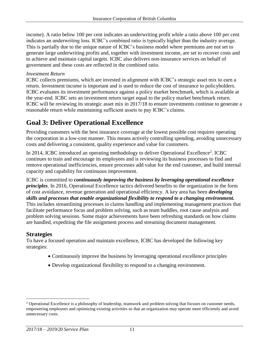income). A ratio below 100 per cent indicates an underwriting profit while a ratio above 100 per cent indicates an underwriting loss. ICBC's combined ratio is typically higher than the industry average. This is partially due to the unique nature of ICBC's business model where premiums are not set to generate large underwriting profits and, together with investment income, are set to recover costs and to achieve and maintain capital targets. ICBC also delivers non-insurance services on behalf of government and these costs are reflected in the combined ratio.

#### *Investment Return*

ICBC collects premiums, which are invested in alignment with ICBC's strategic asset mix to earn a return. Investment income is important and is used to reduce the cost of insurance to policyholders. ICBC evaluates its investment performance against a policy market benchmark, which is available at the year-end. ICBC sets an investment return target equal to the policy market benchmark return*.* ICBC will be reviewing its strategic asset mix in 2017/18 to ensure investments continue to generate a reasonable return while maintaining sufficient assets to pay ICBC's claims.

# **Goal 3: Deliver Operational Excellence**

Providing customers with the best insurance coverage at the lowest possible cost requires operating the corporation in a low-cost manner. This means actively controlling spending, avoiding unnecessary costs and delivering a consistent, quality experience and value for customers.

In 2014, ICBC introduced an operating methodology to deliver Operational Excellence<sup>2</sup>. ICBC continues to train and encourage its employees and is reviewing its business processes to find and remove operational inefficiencies, ensure processes add value for the end customer, and build internal capacity and capability for continuous improvement.

ICBC is committed to *continuously improving the business by leveraging operational excellence principles*. In 2016, Operational Excellence tactics delivered benefits to the organization in the form of cost avoidance, revenue generation and operational efficiency. A key area has been *developing skills and processes that enable organizational flexibility to respond to a changing environment.* 

This includes streamlining processes in claims handling and implementing management practices that facilitate performance focus and problem solving, such as team huddles, root cause analysis and problem solving sessions. Some major achievements have been refreshing standards on how claims are handled, expediting the file assignment process and streaming document management.

# **Strategies**

To have a focused operation and maintain excellence, ICBC has developed the following key strategies:

- Continuously improve the business by leveraging operational excellence principles
- Develop organizational flexibility to respond to a changing environment.

<sup>&</sup>lt;sup>2</sup> Operational Excellence is a philosophy of leadership, teamwork and problem solving that focuses on customer needs, empowering employees and optimizing existing activities so that an organization may operate more efficiently and avoid unnecessary costs.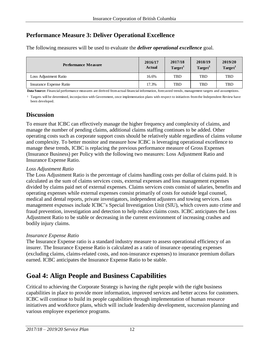# **Performance Measure 3: Deliver Operational Excellence**

The following measures will be used to evaluate the *deliver operational excellence* goal.

| <b>Performance Measure</b> | 2016/17<br><b>Actual</b> | 2017/18<br>Target <sup>1</sup> | 2018/19<br>Target <sup><i>V</i></sup> | 2019/20<br>Target <sup>1</sup> |
|----------------------------|--------------------------|--------------------------------|---------------------------------------|--------------------------------|
| Loss Adjustment Ratio      | 16.6%                    | <b>TBD</b>                     | <b>TBD</b>                            | <b>TBD</b>                     |
| Insurance Expense Ratio    | 17.3%                    | <b>TBD</b>                     | <b>TBD</b>                            | <b>TBD</b>                     |

**Data Source:** Financial performance measures are derived from actual financial information, forecasted trends, management targets and assumptions.

<sup>1</sup> Targets will be determined, inconjuction with Government, once implementation plans with respect to initiatives from the Independent Review have been developed.

#### **Discussion**

To ensure that ICBC can effectively manage the higher frequency and complexity of claims, and manage the number of pending claims, additional claims staffing continues to be added. Other operating costs such as corporate support costs should be relatively stable regardless of claims volume and complexity. To better monitor and measure how ICBC is leveraging operational excellence to manage these trends, ICBC is replacing the previous performance measure of Gross Expenses (Insurance Business) per Policy with the following two measures: Loss Adjustment Ratio and Insurance Expense Ratio.

#### *Loss Adjustment Ratio*

The Loss Adjustment Ratio is the percentage of claims handling costs per dollar of claims paid. It is calculated as the sum of claims services costs, external expenses and loss management expenses divided by claims paid net of external expenses. Claims services costs consist of salaries, benefits and operating expenses while external expenses consist primarily of costs for outside legal counsel, medical and dental reports, private investigators, independent adjusters and towing services. Loss management expenses include ICBC's Special Investigation Unit (SIU), which covers auto crime and fraud prevention, investigation and detection to help reduce claims costs. ICBC anticipates the Loss Adjustment Ratio to be stable or decreasing in the current environment of increasing crashes and bodily injury claims.

#### *Insurance Expense Ratio*

The Insurance Expense ratio is a standard industry measure to assess operational efficiency of an insurer. The Insurance Expense Ratio is calculated as a ratio of insurance operating expenses (excluding claims, claims-related costs, and non-insurance expenses) to insurance premium dollars earned. ICBC anticipates the Insurance Expense Ratio to be stable.

# **Goal 4: Align People and Business Capabilities**

Critical to achieving the Corporate Strategy is having the right people with the right business capabilities in place to provide more information, improved services and better access for customers. ICBC will continue to build its people capabilities through implementation of human resource initiatives and workforce plans, which will include leadership development, succession planning and various employee experience programs.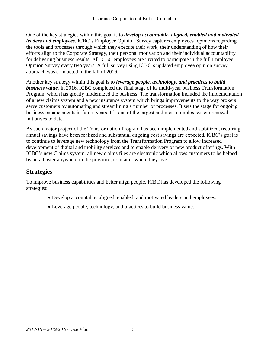One of the key strategies within this goal is to *develop accountable, aligned, enabled and motivated leaders and employees*. ICBC's Employee Opinion Survey captures employees' opinions regarding the tools and processes through which they execute their work, their understanding of how their efforts align to the Corporate Strategy, their personal motivation and their individual accountability for delivering business results*.* All ICBC employees are invited to participate in the full Employee Opinion Survey every two years. A full survey using ICBC's updated employee opinion survey approach was conducted in the fall of 2016.

Another key strategy within this goal is to *leverage people, technology, and practices to build business value.* In 2016, ICBC completed the final stage of its multi-year business Transformation Program, which has greatly modernized the business. The transformation included the implementation of a new claims system and a new insurance system which brings improvements to the way brokers serve customers by automating and streamlining a number of processes. It sets the stage for ongoing business enhancements in future years. It's one of the largest and most complex system renewal initiatives to date.

As each major project of the Transformation Program has been implemented and stabilized, recurring annual savings have been realized and substantial ongoing cost savings are expected. ICBC's goal is to continue to leverage new technology from the Transformation Program to allow increased development of digital and mobility services and to enable delivery of new product offerings. With ICBC's new Claims system, all new claims files are electronic which allows customers to be helped by an adjuster anywhere in the province, no matter where they live.

### **Strategies**

To improve business capabilities and better align people, ICBC has developed the following strategies:

- Develop accountable, aligned, enabled, and motivated leaders and employees.
- Leverage people, technology, and practices to build business value.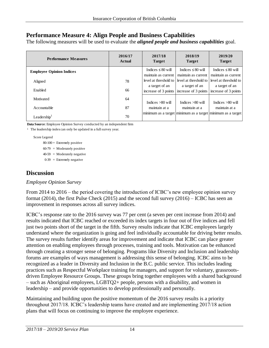### **Performance Measure 4: Align People and Business Capabilities**

The following measures will be used to evaluate the *aligned people and business capabilities* goal.

| <b>Performance Measures</b>     | 2016/17<br><b>Actual</b> | 2017/18<br><b>Target</b>                      | 2018/19<br><b>Target</b>                                        | 2019/20<br><b>Target</b>                      |
|---------------------------------|--------------------------|-----------------------------------------------|-----------------------------------------------------------------|-----------------------------------------------|
| <b>Employee Opinion Indices</b> |                          | Indices $\leq 80$ will<br>maintain as current | Indices $\leq 80$ will<br>maintain as current                   | Indices $\leq 80$ will<br>maintain as current |
| Aligned                         | 78                       | level at threshold to I                       | level at threshold to                                           | level at threshold to                         |
| Enabled                         | 66                       | a target of an                                | a target of an<br>increase of 3 points $ $ increase of 3 points | a target of an<br>increase of 3 points        |
| Motivated                       | 64                       | Indices $>80$ will                            | Indices $>80$ will                                              | Indices $>80$ will                            |
| Accountable                     | 87                       | maintain at a                                 | maintain at a                                                   | maintain at a                                 |
| Leadership $1$                  | 70                       |                                               | minimum as a target minimum as a target minimum as a target     |                                               |

**Data Source**: Employee Opinion Survey conducted by an independent firm

<sup>1</sup> The leadership index can only be updated in a full survey year.

Score Legend

 $80-100 =$  Extremely positive  $60-79$  = Moderately positive  $40-59$  = Moderately negative  $0-39$  = Extremely negative

#### **Discussion**

#### *Employee Opinion Survey*

From 2014 to 2016 – the period covering the introduction of ICBC's new employee opinion survey format (2014), the first Pulse Check (2015) and the second full survey (2016) – ICBC has seen an improvement in responses across all survey indices.

ICBC's response rate to the 2016 survey was 77 per cent (a seven per cent increase from 2014) and results indicated that ICBC reached or exceeded its index targets in four out of five indices and fell just two points short of the target in the fifth. Survey results indicate that ICBC employees largely understand where the organization is going and feel individually accountable for driving better results. The survey results further identify areas for improvement and indicate that ICBC can place greater attention on enabling employees through processes, training and tools. Motivation can be enhanced through creating a stronger sense of belonging. Programs like Diversity and Inclusion and leadership forums are examples of ways management is addressing this sense of belonging. ICBC aims to be recognized as a leader in Diversity and Inclusion in the B.C. public service. This includes leading practices such as Respectful Workplace training for managers, and support for voluntary, grassrootsdriven Employee Resource Groups. These groups bring together employees with a shared background – such as Aboriginal employees, LGBTQ2+ people, persons with a disability, and women in leadership – and provide opportunities to develop professionally and personally.

Maintaining and building upon the positive momentum of the 2016 survey results is a priority throughout 2017/18. ICBC's leadership teams have created and are implementing 2017/18 action plans that will focus on continuing to improve the employee experience.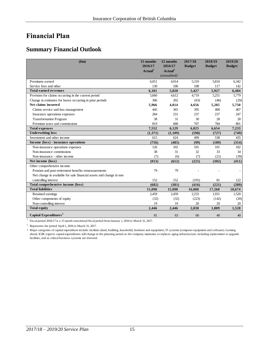# <span id="page-14-0"></span>**Financial Plan**

### <span id="page-14-1"></span>**Summary Financial Outlook**

| \$m\$                                                               | 15 months<br>2016/17             | 12 months<br>2016/17             | 2017/18<br><b>Budget</b> | 2018/19<br><b>Budget</b> | 2019/20<br><b>Budget</b> |
|---------------------------------------------------------------------|----------------------------------|----------------------------------|--------------------------|--------------------------|--------------------------|
|                                                                     | $\boldsymbol{\mathrm{Actual}}^1$ | $\boldsymbol{\mathrm{Actual}}^2$ |                          |                          |                          |
|                                                                     |                                  | (unaudited)                      |                          |                          |                          |
| Premiums earned                                                     | 6.051                            | 4,914                            | 5,319                    | 5.810                    | 6,342                    |
| Service fees and other                                              | 130                              | 106                              | 108                      | 117                      | 142                      |
| <b>Total earned revenues</b>                                        | 6,181                            | 5,020                            | 5,427                    | 5,927                    | 6,484                    |
| Provision for claims occurring in the current period                | 5,660                            | 4,612                            | 4,719                    | 5,251                    | 5,779                    |
| Change in estimates for losses occurring in prior periods           | 306                              | 202                              | (63)                     | (46)                     | (29)                     |
| Net claims incurred                                                 | 5,966                            | 4,814                            | 4,656                    | 5,205                    | 5,750                    |
| Claims service and loss management                                  | 445                              | 365                              | 395                      | 400                      | 407                      |
| Insurance operations expenses                                       | 284                              | 231                              | 237                      | 237                      | 247                      |
| <b>Transformation Program</b>                                       | 38                               | 31                               | 30                       | 28                       | 28                       |
| Premium taxes and commissions                                       | 819                              | 688                              | 707                      | 784                      | 801                      |
| <b>Total expenses</b>                                               | 7,552                            | 6,129                            | 6,025                    | 6,654                    | 7,233                    |
| <b>Underwriting loss</b>                                            | (1,371)                          | (1,109)                          | (598)                    | (727)                    | (749)                    |
| Investment and other income                                         | 615                              | 624                              | 499                      | 538                      | 435                      |
| Income (loss) - insurance operations                                | (756)                            | (485)                            | (99)                     | (189)                    | (314)                    |
| Non-insurance operations expenses                                   | 126                              | 102                              | 101                      | 101                      | 102                      |
| Non-insurance commissions                                           | 38                               | 31                               | 32                       | 33                       | 34                       |
| Non-insurance - other income                                        | (7)                              | (6)                              | (7)                      | (21)                     | (39)                     |
| Net income (loss)                                                   | (913)                            | (612)                            | (225)                    | (302)                    | (411)                    |
| Other comprehensive income                                          |                                  |                                  |                          |                          |                          |
| Pension and post-retirement benefits remeasurements                 | 79                               | 79                               |                          |                          |                          |
| Net change in available for sale financial assets and change in non |                                  |                                  |                          |                          |                          |
| controlling interest                                                | 152                              | 152                              | (191)                    | 81                       | 122                      |
| Total comprehensive income (loss)                                   | (682)                            | (381)                            | (416)                    | (221)                    | (289)                    |
| <b>Total liabilities</b>                                            | 15,098                           | 15,098                           | 16,000                   | 17,260                   | 18,674                   |
| Retained earnings                                                   | 2,459                            | 2,459                            | 2,233                    | 1,931                    | 1,520                    |
| Other components of equity                                          | (32)                             | (32)                             | (223)                    | (142)                    | (20)                     |
| Non-controlling interest                                            | 19                               | 19                               | 20                       | 20                       | 20                       |
| <b>Total equity</b>                                                 | 2,446                            | 2,446                            | 2,030                    | 1,809                    | 1,520                    |
| Capital Expenditures <sup>3</sup>                                   | 81                               | 63                               | 60                       | 40                       | 40                       |

 $^{\rm 1}$  Fiscal period 2016/17 is a 15 month transitional fiscal period from January 1, 2016 to March 31, 2017.

<sup>2</sup> Represents the period April 1, 2016 to March 31, 2017.

3 Major categories of capital expenditure include: facilities (land, building, leasehold), furniture and equipment, IT systems (computer equipment and software). Looking ahead, ICBC expects capital expenditures will change in the planning period as the company maintains or replaces aging infrastructure, including replacement or upgrade facilities, and as critical business systems are renewed.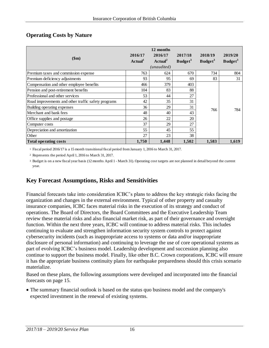#### <span id="page-15-0"></span>**Operating Costs by Nature**

| \$m\$                                               | 2016/17<br>Actual <sup>1</sup> | 12 months<br>2016/17<br>$\boldsymbol{\mathrm{Actual}}^2$<br>(unaudited) | 2017/18<br>Budget <sup>3</sup> | 2018/19<br>Budge <sup>3</sup> | 2019/20<br>Budget <sup>3</sup> |
|-----------------------------------------------------|--------------------------------|-------------------------------------------------------------------------|--------------------------------|-------------------------------|--------------------------------|
| Premium taxes and commission expense                | 763                            | 624                                                                     | 670                            | 734                           | 804                            |
| Premium deficiency adjustments                      | 93                             | 95                                                                      | 69                             | 83                            | 31                             |
| Compensation and other employee benefits            | 466                            | 379                                                                     | 403                            |                               |                                |
| Pension and post-retirement benefits                | 104                            | 83                                                                      | 88                             |                               |                                |
| Professional and other services                     | 53                             | 44                                                                      | 27                             |                               |                                |
| Road improvements and other traffic safety programs | 42                             | 35                                                                      | 31                             |                               |                                |
| Building operating expenses                         | 36                             | 29                                                                      | 31                             | 766                           | 784                            |
| Merchant and bank fees                              | 48                             | 40                                                                      | 43                             |                               |                                |
| Office supplies and postage                         | 26                             | 22                                                                      | 20                             |                               |                                |
| Computer costs                                      | 37                             | 29                                                                      | 27                             |                               |                                |
| Depreciation and amortization                       | 55                             | 45                                                                      | 55                             |                               |                                |
| Other                                               | 27                             | 23                                                                      | 38                             |                               |                                |
| <b>Total operating costs</b>                        | 1,750                          | 1,448                                                                   | 1,502                          | 1,583                         | 1,619                          |

1 Fiscal period 2016/17 is a 15 month transitional fiscal period from January 1, 2016 to March 31, 2017.

<sup>2</sup> Represents the period April 1, 2016 to March 31, 2017.

3 Budget is on a new fiscal year basis (12 months April 1 - March 31). Operating cost targets are not planned in detail beyond the current year.

# <span id="page-15-1"></span>**Key Forecast Assumptions, Risks and Sensitivities**

Financial forecasts take into consideration ICBC's plans to address the key strategic risks facing the organization and changes in the external environment. Typical of other property and casualty insurance companies, ICBC faces material risks in the execution of its strategy and conduct of operations. The Board of Directors, the Board Committees and the Executive Leadership Team review these material risks and also financial market risk, as part of their governance and oversight function. Within the next three years, ICBC will continue to address material risks. This includes continuing to evaluate and strengthen information security system controls to protect against cybersecurity incidents (such as inappropriate access to systems or data and/or inappropriate disclosure of personal information) and continuing to leverage the use of core operational systems as part of evolving ICBC's business model. Leadership development and succession planning also continue to support the business model. Finally, like other B.C. Crown corporations, ICBC will ensure it has the appropriate business continuity plans for earthquake preparedness should this crisis scenario materialize.

Based on these plans, the following assumptions were developed and incorporated into the financial forecasts on page 15.

 The summary financial outlook is based on the status quo business model and the company's expected investment in the renewal of existing systems.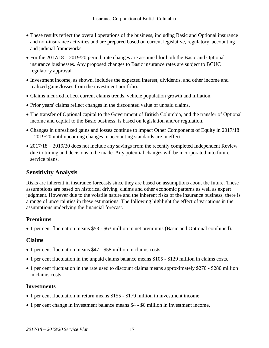- These results reflect the overall operations of the business, including Basic and Optional insurance and non-insurance activities and are prepared based on current legislative, regulatory, accounting and judicial frameworks.
- For the 2017/18 2019/20 period, rate changes are assumed for both the Basic and Optional insurance businesses. Any proposed changes to Basic insurance rates are subject to BCUC regulatory approval.
- Investment income, as shown, includes the expected interest, dividends, and other income and realized gains/losses from the investment portfolio.
- Claims incurred reflect current claims trends, vehicle population growth and inflation.
- Prior years' claims reflect changes in the discounted value of unpaid claims.
- The transfer of Optional capital to the Government of British Columbia, and the transfer of Optional income and capital to the Basic business, is based on legislation and/or regulation.
- Changes in unrealized gains and losses continue to impact Other Components of Equity in 2017/18 – 2019/20 until upcoming changes in accounting standards are in effect.
- <span id="page-16-0"></span>• 2017/18 – 2019/20 does not include any savings from the recently completed Independent Review due to timing and decisions to be made. Any potential changes will be incorporated into future service plans.

# **Sensitivity Analysis**

Risks are inherent in insurance forecasts since they are based on assumptions about the future. These assumptions are based on historical driving, claims and other economic patterns as well as expert judgment. However due to the volatile nature and the inherent risks of the insurance business, there is a range of uncertainties in these estimations. The following highlight the effect of variations in the assumptions underlying the financial forecast.

#### **Premiums**

1 per cent fluctuation means \$53 - \$63 million in net premiums (Basic and Optional combined).

#### **Claims**

- 1 per cent fluctuation means \$47 \$58 million in claims costs.
- 1 per cent fluctuation in the unpaid claims balance means \$105 \$129 million in claims costs.
- 1 per cent fluctuation in the rate used to discount claims means approximately \$270 \$280 million in claims costs.

#### **Investments**

- 1 per cent fluctuation in return means \$155 \$179 million in investment income.
- 1 per cent change in investment balance means \$4 \$6 million in investment income.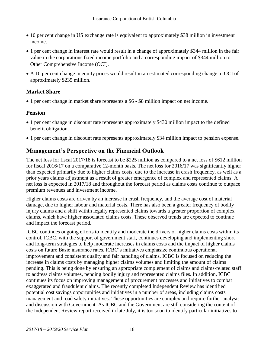- 10 per cent change in US exchange rate is equivalent to approximately \$38 million in investment income.
- 1 per cent change in interest rate would result in a change of approximately \$344 million in the fair value in the corporations fixed income portfolio and a corresponding impact of \$344 million to Other Comprehensive Income (OCI).
- A 10 per cent change in equity prices would result in an estimated corresponding change to OCI of approximately \$235 million.

### **Market Share**

1 per cent change in market share represents a \$6 - \$8 million impact on net income.

#### **Pension**

- 1 per cent change in discount rate represents approximately \$430 million impact to the defined benefit obligation.
- 1 per cent change in discount rate represents approximately \$34 million impact to pension expense.

# <span id="page-17-0"></span>**Management's Perspective on the Financial Outlook**

The net loss for fiscal 2017/18 is forecast to be \$225 million as compared to a net loss of \$612 million for fiscal 2016/17 on a comparative 12-month basis. The net loss for 2016/17 was significantly higher than expected primarily due to higher claims costs, due to the increase in crash frequency, as well as a prior years claims adjustment as a result of greater emergence of complex and represented claims. A net loss is expected in 2017/18 and throughout the forecast period as claims costs continue to outpace premium revenues and investment income.

Higher claims costs are driven by an increase in crash frequency, and the average cost of material damage, due to higher labour and material costs. There has also been a greater frequency of bodily injury claims and a shift within legally represented claims towards a greater proportion of complex claims, which have higher associated claims costs. These observed trends are expected to continue and impact the forecast period.

ICBC continues ongoing efforts to identify and moderate the drivers of higher claims costs within its control. ICBC, with the support of government staff, continues developing and implementing short and long-term strategies to help moderate increases in claims costs and the impact of higher claims costs on future Basic insurance rates. ICBC's initiatives emphasize continuous operational improvement and consistent quality and fair handling of claims. ICBC is focused on reducing the increase in claims costs by managing higher claims volumes and limiting the amount of claims pending. This is being done by ensuring an appropriate complement of claims and claims-related staff to address claims volumes, pending bodily injury and represented claims files. In addition, ICBC continues its focus on improving management of procurement processes and initiatives to combat exaggerated and fraudulent claims. The recently completed Independent Review has identified potential cost savings opportunities and initiatives in a number of areas, including claims costs management and road safety initiatives. These opportunities are complex and require further analysis and discussion with Government. As ICBC and the Government are still considering the content of the Independent Review report received in late July, it is too soon to identify particular initiatives to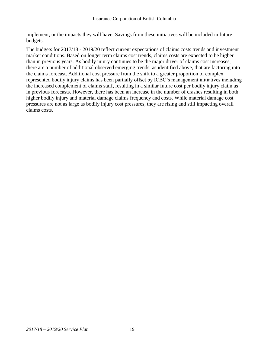implement, or the impacts they will have. Savings from these initiatives will be included in future budgets.

The budgets for 2017/18 - 2019/20 reflect current expectations of claims costs trends and investment market conditions. Based on longer term claims cost trends, claims costs are expected to be higher than in previous years. As bodily injury continues to be the major driver of claims cost increases, there are a number of additional observed emerging trends, as identified above, that are factoring into the claims forecast. Additional cost pressure from the shift to a greater proportion of complex represented bodily injury claims has been partially offset by ICBC's management initiatives including the increased complement of claims staff, resulting in a similar future cost per bodily injury claim as in previous forecasts. However, there has been an increase in the number of crashes resulting in both higher bodily injury and material damage claims frequency and costs. While material damage cost pressures are not as large as bodily injury cost pressures, they are rising and still impacting overall claims costs.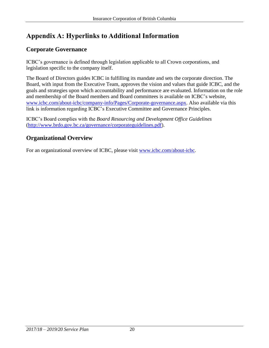# <span id="page-19-0"></span>**Appendix A: Hyperlinks to Additional Information**

# <span id="page-19-1"></span>**Corporate Governance**

ICBC's governance is defined through legislation applicable to all Crown corporations, and legislation specific to the company itself.

The Board of Directors guides ICBC in fulfilling its mandate and sets the corporate direction. The Board, with input from the Executive Team, approves the vision and values that guide ICBC, and the goals and strategies upon which accountability and performance are evaluated. Information on the role and membership of the Board members and Board committees is available on ICBC's website, [www.icbc.com/about-icbc/company-info/Pages/Corporate-governance.aspx.](http://www.icbc.com/about-icbc/company-info/Pages/Corporate-governance.aspx) Also available via this link is information regarding ICBC's Executive Committee and Governance Principles.

ICBC's Board complies with the *Board Resourcing and Development Office Guidelines* [\(http://www.brdo.gov.bc.ca/governance/corporateguidelines.pdf\)](http://www.brdo.gov.bc.ca/governance/corporateguidelines.pdf).

### <span id="page-19-2"></span>**Organizational Overview**

For an organizational overview of ICBC, please visit [www.icbc.com/about-icbc.](http://www.icbc.com/about-icbc/company-info/Pages/default.aspx)